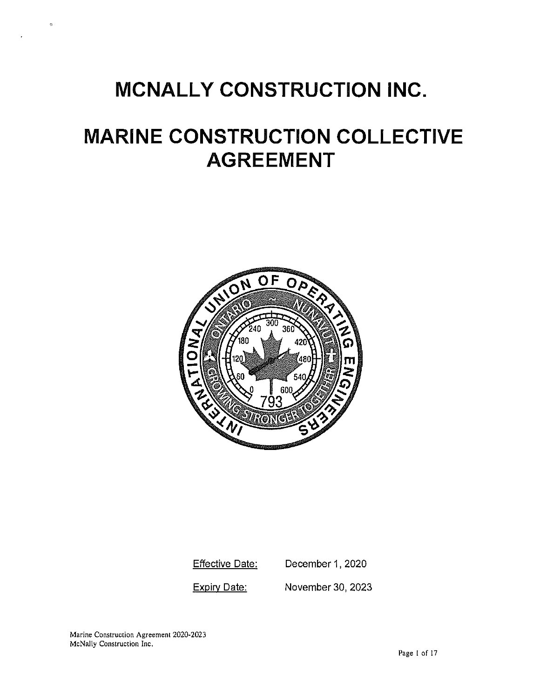# MCNALLY CONSTRUCTION INC.

# MARINE CONSTRUCTION COLLECTIVE AGREEMENT



Effective Date: **Expiry Date:** December 1, 2020 November 30, 2023

Marine Construction Agreement 2020-2023 McNally Construction Inc,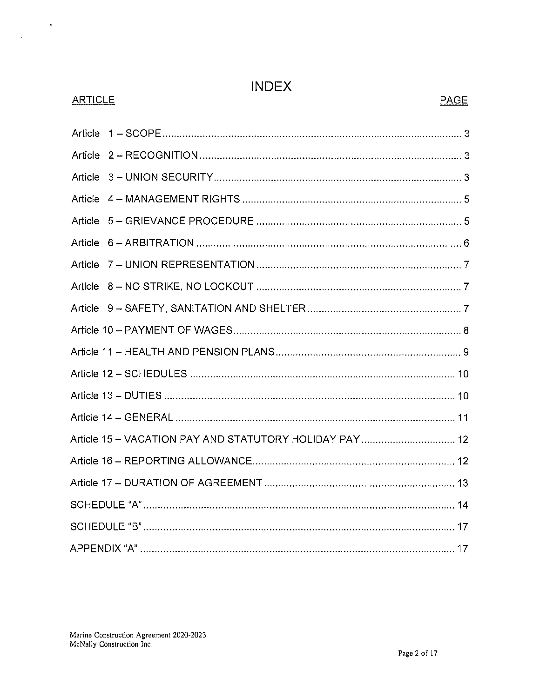# **INDEX**

| Д | <b>RTIC</b> |  |  |
|---|-------------|--|--|
|   |             |  |  |

 $\begin{array}{c} \mathfrak{p} \\\\ \mathfrak{p} \end{array}$ 

| Article |
|---------|
|         |
|         |
|         |
|         |
|         |
|         |
|         |
|         |
|         |
|         |
|         |
|         |
|         |
|         |
|         |
|         |
|         |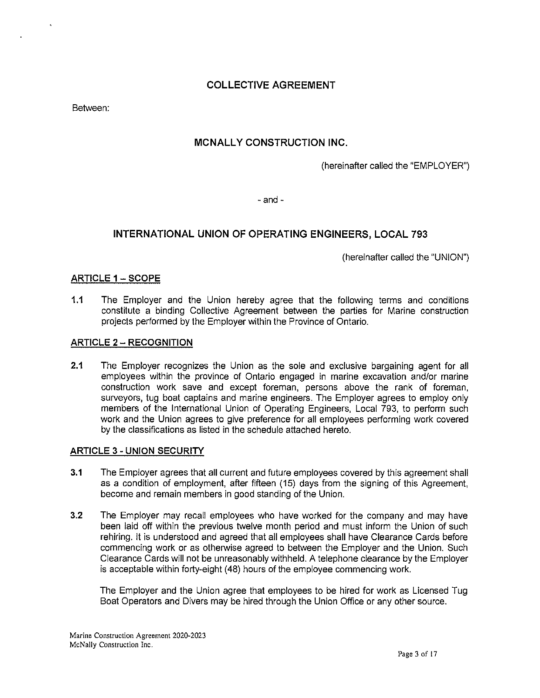# **COLLECTIVE AGREEMENT**

Between:

# **MCNALLY CONSTRUCTION INC.**

(hereinafter called the "EMPLOYER")

- and -

# **INTERNATIONAL UNION OF OPERATING ENGINEERS, LOCAL 793**

(hereinafter called the "UNION")

#### **ARTICLE 1 - SCOPE**

**1.1** The Employer and the Union hereby agree that the following terms and conditions constitute a binding Collective Agreement between the parties for Marine construction projects performed by the Employer within the Province of Ontario.

#### **ARTICLE 2 - RECOGNITION**

**2.1** The Employer recognizes the Union as the sole and exclusive bargaining agent for all employees within the province of Ontario engaged in marine excavation and/or marine construction work save and except foreman, persons above the rank of foreman, surveyors, tug boat captains and marine engineers. The Employer agrees to employ only members of the International Union of Operating Engineers, Local 793, to perform such work and the Union agrees to give preference for all employees performing work covered by the classifications as listed in the schedule attached hereto.

#### **ARTICLE 3 • UNION SECURITY**

- **3.1** The Employer agrees that all current and future employees covered by this agreement shall as a condition of employment, after fifteen (15) days from the signing of this Agreement, become and remain members in good standing of the Union.
- **3.2** The Employer may recall employees who have worked for the company and may have been laid off within the previous twelve month period and must inform the Union of such rehiring. It is understood and agreed that all employees shall have Clearance Cards before commencing work or as otherwise agreed to between the Employer and the Union. Such Clearance Cards will not be unreasonably withheld. A telephone clearance by the Employer is acceptable within forty-eight (48) hours of the employee commencing work.

The Employer and the Union agree that employees to be hired for work as Licensed Tug Boat Operators and Divers may be hired through the Union Office or any other source.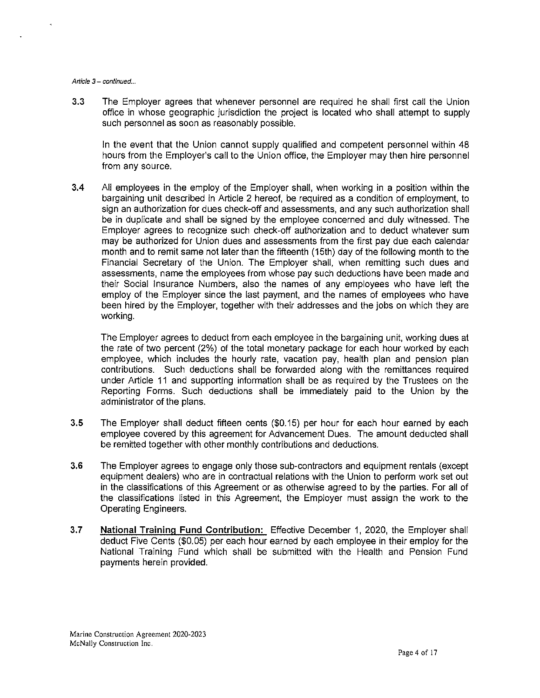*Article 3- continued ...* 

3.3 The Employer agrees that whenever personnel are required he shall first call the Union office in whose geographic jurisdiction the project is located who shall attempt to supply such personnel as soon as reasonably possible.

In the event that the Union cannot supply qualified and competent personnel within 48 hours from the Employer's call to the Union office, the Employer may then hire personnel from any source.

**3.4** All employees in the employ of the Employer shall, when working in a position within the bargaining unit described in Article 2 hereof, be required as a condition of employment, to sign an authorization for dues check-off and assessments, and any such authorization shall be in duplicate and shall be signed by the employee concerned and duly witnessed. The Employer agrees to recognize such check-off authorization and to deduct whatever sum may be authorized for Union dues and assessments from the first pay due each calendar month and to remit same not later than the fifteenth (15th) day of the following month to the Financial Secretary of the Union. The Employer shall, when remitting such dues and assessments, name the employees from whose pay such deductions have been made and their Social Insurance Numbers, also the names of any employees who have left the employ of the Employer since the last payment, and the names of employees who have been hired by the Employer, together with their addresses and the jobs on which they are working.

The Employer agrees to deduct from each employee in the bargaining unit, working dues at the rate of two percent (2%) of the total monetary package for each hour worked by each employee, which includes the hourly rate, vacation pay, health plan and pension plan contributions. Such deductions shall be forwarded along with the remittances required under Article 11 and supporting information shall be as required by the Trustees on the Reporting Forms. Such deductions shall be immediately paid to the Union by the administrator of the plans.

- **3.5** The Employer shall deduct fifteen cents (\$0.15) per hour for each hour earned by each employee covered by this agreement for Advancement Dues. The amount deducted shall be remitted together with other monthly contributions and deductions.
- 3.6 The Employer agrees to engage only those sub-contractors and equipment rentals (except equipment dealers) who are in contractual relations with the Union to perform work set out in the classifications of this Agreement or as otherwise agreed to by the parties. For all of the classifications listed in this Agreement, the Employer must assign the work to the Operating Engineers.
- 3.7 **National Training Fund Contribution:** Effective December 1, 2020, the Employer shall deduct Five Cents (\$0.05) per each hour earned by each employee in their employ for the National Training Fund which shall be submitted with the Health and Pension Fund payments herein provided.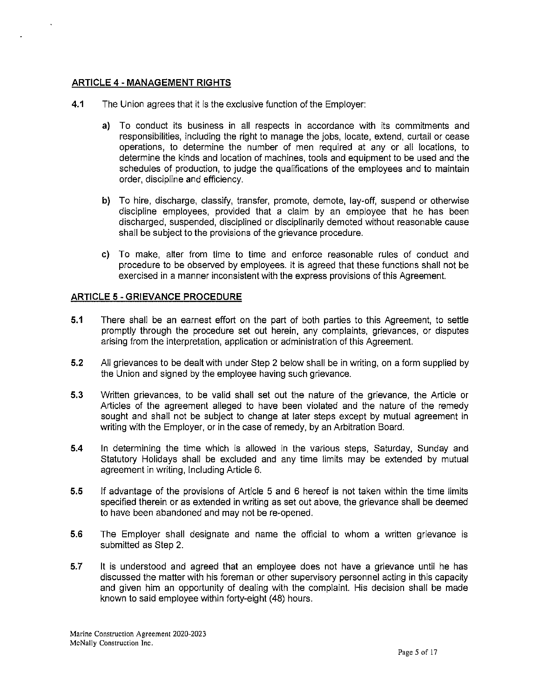#### **ARTICLE 4 - MANAGEMENT RIGHTS**

- **4.1** The Union agrees that it is the exclusive function of the Employer:
	- a) To conduct its business in all respects in accordance with its commitments and responsibilities, including the right to manage the jobs, locate, extend, curtail or cease operations, to determine the number of men required at any or all locations, to determine the kinds and location of machines, tools and equipment to be used and the schedules of production, to judge the qualifications of the employees and to maintain order, discipline and efficiency.
	- b) To hire, discharge, classify, transfer, promote, demote, lay-off, suspend or otherwise discipline employees, provided that a claim by an employee that he has been discharged, suspended, disciplined or disciplinarily demoted without reasonable cause shall be subject to the provisions of the grievance procedure.
	- c) To make, alter from time to time and enforce reasonable rules of conduct and procedure to be observed by employees. It is agreed that these functions shall not be exercised in a manner inconsistent with the express provisions of this Agreement.

#### **ARTICLE 5 -GRIEVANCE PROCEDURE**

- **5.1** There shall be an earnest effort on the part of both parties to this Agreement, to settle promptly through the procedure set out herein, any complaints, grievances, or disputes arising from the interpretation, application or administration of this Agreement.
- **5.2** All grievances to be dealt with under Step 2 below shall be in writing, on a form supplied by the Union and signed by the employee having such grievance.
- 5.3 Written grievances, to be valid shall set out the nature of the grievance, the Article or Articles of the agreement alleged to have been violated and the nature of the remedy sought and shall not be subject to change at later steps except by mutual agreement in writing with the Employer, or in the case of remedy, by an Arbitration Board.
- **5.4** In determining the time which is allowed in the various steps, Saturday, Sunday and Statutory Holidays shall be excluded and any time limits may be extended by mutual agreement in writing, Including Article 6.
- **5.5** If advantage of the provisions of Article 5 and 6 hereof is not taken within the time limits specified therein or as extended in writing as set out above, the grievance shall be deemed to have been abandoned and may not be re-opened.
- 5.6 The Employer shall designate and name the official to whom a written grievance is submitted as Step 2.
- **5.7** It is understood and agreed that an employee does not have a grievance until he has discussed the matter with his foreman or other supervisory personnel acting in this capacity and given him an opportunity of dealing with the complaint. His decision shall be made known to said employee within forty-eight (48) hours.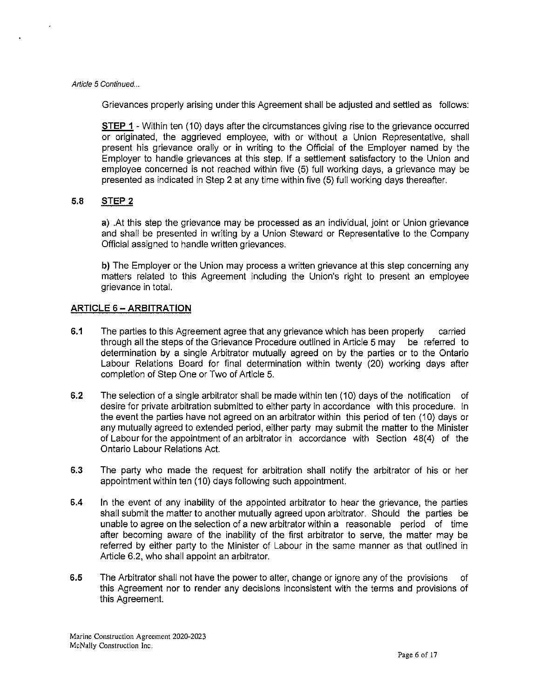Article 5 Continued...

Grievances properly arising under this Agreement shall be adjusted and settled as follows:

**STEP 1** - Within ten (10) days after the circumstances giving rise to the grievance occurred or originated, the aggrieved employee, with or without a Union Representative, shall present his grievance orally or in writing to the Official of the Employer named by the Employer to handle grievances at this step. If a settlement satisfactory to the Union and employee concerned is not reached within five (5) full working days, a grievance may be presented as indicated in Step 2 at any time within five (5) full working days thereafter.

#### **5.8 STEP 2**

**a)** .At this step the grievance may be processed as an individual, joint or Union grievance and shall be presented in writing by a Union Steward or Representative to the Company Official assigned to handle written grievances.

**b)** The Employer or the Union may process a written grievance at this step concerning any matters related to this Agreement including the Union's right to present an employee grievance in total.

## **ARTICLE** 6 - **ARBITRATION**

- **6.1** The parties to this Agreement agree that any grievance which has been properly carried through all the steps of the Grievance Procedure outlined in Article 5 may be referred to determination by a single Arbitrator mutually agreed on by the parties or to the Ontario Labour Relations Board for final determination within twenty (20) working days after completion of Step One or Two of Article 5.
- **6.2** The selection of a single arbitrator shall be made within ten (10) days of the notification of desire for private arbitration submitted to either party in accordance with this procedure. In the event the parties have not agreed on an arbitrator within this period of ten (10) days or any mutually agreed to extended period, either party may submit the matter to the Minister of Labour for the appointment of an arbitrator in accordance with Section 48(4) of the Ontario Labour Relations Act.
- 6.3 The party who made the request for arbitration shall notify the arbitrator of his or her appointment within ten (10) days following such appointment.
- **6.4** In the event of any inability of the appointed arbitrator to hear the grievance, the parties shall submit the matter to another mutually agreed upon arbitrator. Should the parties be unable to agree on the selection of a new arbitrator within a reasonable period of time after becoming aware of the inability of the first arbitrator to serve, the matter may be referred by either party to the Minister of Labour in the same manner as that outlined in Article 6.2, who shall appoint an arbitrator.
- **6.5** The Arbitrator shall not have the power to alter, change or ignore any of the provisions of this Agreement nor to render any decisions inconsistent with the terms and provisions of this Agreement.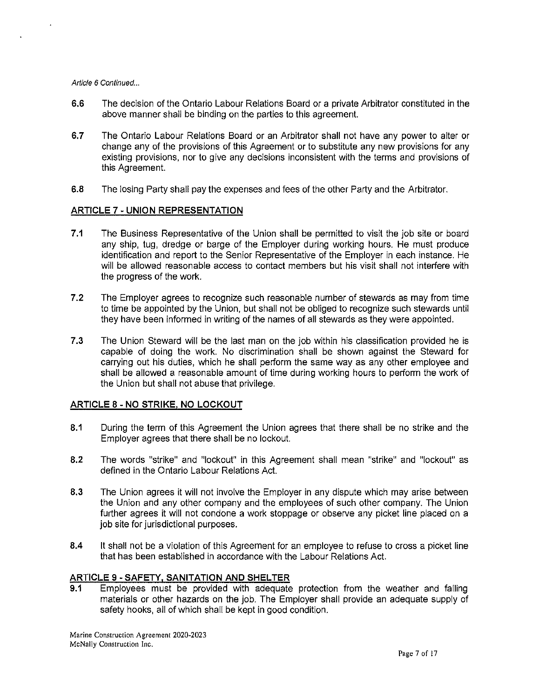Article 6 Continued ...

- **6.6** The decision of the Ontario Labour Relations Board or a private Arbitrator constituted in the above manner shall be binding on the parties to this agreement.
- **6.7** The Ontario Labour Relations Board or an Arbitrator shall not have any power to alter or change any of the provisions of this Agreement or to substitute any new provisions for any existing provisions, nor to give any decisions inconsistent with the terms and provisions of this Agreement.
- **6.8** The losing Party shall pay the expenses and fees of the other Party and the Arbitrator.

#### **ARTICLE 7 ·UNION REPRESENTATION**

- **7.1** The Business Representative of the Union shall be permitted to visit the job site or board any ship, tug, dredge or barge of the Employer during working hours. He must produce identification and report to the Senior Representative of the Employer in each instance. He will be allowed reasonable access to contact members but his visit shall not interfere with the progress of the work.
- **7.2** The Employer agrees to recognize such reasonable number of stewards as may from time to time be appointed by the Union, but shall not be obliged to recognize such stewards until they have been informed in writing of the names of all stewards as they were appointed.
- **7.3** The Union Steward will be the last man on the job within his classification provided he is capable of doing the work. No discrimination shall be shown against the Steward for carrying out his duties, which he shall perform the same way as any other employee and shall be allowed a reasonable amount of time during working hours to perform the work of the Union but shall not abuse that privilege.

#### **ARTICLE 8 · NO STRIKE. NO LOCKOUT**

- **8.1** During the term of this Agreement the Union agrees that there shall be no strike and the Employer agrees that there shall be no lockout.
- **8.2** The words "strike" and "lockout" in this Agreement shall mean "strike" and "lockout" as defined in the Ontario Labour Relations Act.
- **8.3** The Union agrees it will not involve the Employer in any dispute which may arise between the Union and any other company and the employees of such other company. The Union further agrees it will not condone a work stoppage or observe any picket line placed on a job site for jurisdictional purposes.
- **8.4** It shall not be a violation of this Agreement for an employee to refuse to cross a picket line that has been established in accordance with the Labour Relations Act.

#### **ARTICLE 9 ·SAFETY. SANITATION AND SHELTER**

**9.1** Employees must be provided with adequate protection from the weather and falling materials or other hazards on the job. The Employer shall provide an adequate supply of safety hooks, all of which shall be kept in good condition.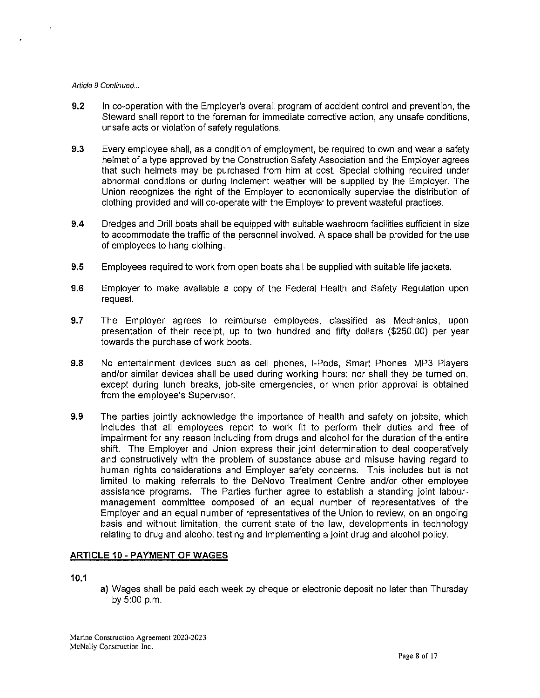#### Article 9 Continued ...

- **9.2** In co-operation with the Employer's overall program of accident control and prevention, the Steward shall report to the foreman for immediate corrective action, any unsafe conditions, unsafe acts or violation of safety regulations.
- **9.3** Every employee shall, as a condition of employment, be required to own and wear a safety helmet of a type approved by the Construction Safety Association and the Employer agrees that such helmets may be purchased from him at cost. Special clothing required under abnormal conditions or during inclement weather will be supplied by the Employer. The Union recognizes the right of the Employer to economically supervise the distribution of clothing provided and will co-operate with the Employer to prevent wasteful practices.
- **9.4** Dredges and Drill boats shall be equipped with suitable washroom facilities sufficient in size to accommodate the traffic of the personnel involved. A space shall be provided for the use of employees to hang clothing.
- **9.5** Employees required to work from open boats shall be supplied with suitable life jackets.
- **9.6** Employer to make available a copy of the Federal Health and Safety Regulation upon request.
- **9.7** The Employer agrees to reimburse employees, classified as Mechanics, upon presentation of their receipt, up to two hundred and fifty dollars (\$250.00) per year towards the purchase of work boots.
- **9.8** No entertainment devices such as cell phones, I-Pods, Smart Phones, MP3 Players and/or similar devices shall be used during working hours: nor shall they be turned on, except during lunch breaks, job-site emergencies, or when prior approval is obtained from the employee's Supervisor.
- **9.9** The parties jointly acknowledge the importance of health and safety on jobsite, which includes that all employees report to work fit to perform their duties and free of impairment for any reason including from drugs and alcohol for the duration of the entire shift. The Employer and Union express their joint determination to deal cooperatively and constructively with the problem of substance abuse and misuse having regard to human rights considerations and Employer safety concerns. This includes but is not limited to making referrals to the DeNovo Treatment Centre and/or other employee assistance programs. The Parties further agree to establish a standing joint labourmanagement committee composed of an equal number of representatives of the Employer and an equal number of representatives of the Union to review, on an ongoing basis and without limitation, the current state of the law, developments in technology relating to drug and alcohol testing and implementing a joint drug and alcohol policy.

#### **ARTICLE 10 ·PAYMENT OF WAGES**

- **10.1**
- a) Wages shall be paid each week by cheque or electronic deposit no later than Thursday by 5:00 p.m.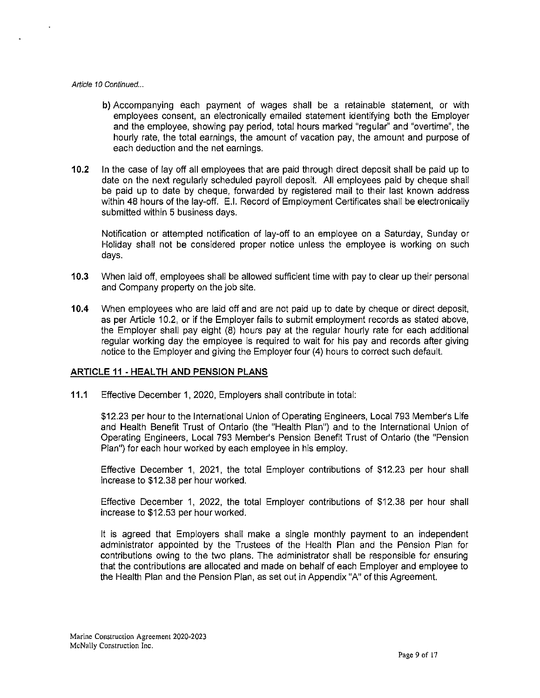#### Article 10 Continued...

- b) Accompanying each payment of wages shall be a retainable statement, or with employees consent, an electronically emailed statement identifying both the Employer and the employee, showing pay period, total hours marked "regular" and "overtime", the hourly rate, the total earnings, the amount of vacation pay, the amount and purpose of each deduction and the net earnings.
- **10.2** In the case of lay off all employees that are paid through direct deposit shall be paid up to date on the next regularly scheduled payroll deposit. All employees paid by cheque shall be paid up to date by cheque, forwarded by registered mail to their last known address within 48 hours of the lay-off. E.I. Record of Employment Certificates shall be electronically submitted within 5 business days.

Notification or attempted notification of lay-off to an employee on a Saturday, Sunday or Holiday shall not be considered proper notice unless the employee is working on such days.

- **10.3** When laid off, employees shall be allowed sufficient time with pay to clear up their personal and Company property on the job site.
- **10.4** When employees who are laid off and are not paid up to date by cheque or direct deposit, as per Article 10.2, or if the Employer fails to submit employment records as stated above, the Employer shall pay eight (8) hours pay at the regular hourly rate for each additional regular working day the employee is required to wait for his pay and records after giving notice to the Employer and giving the Employer four (4) hours to correct such default.

#### **ARTICLE 11 - HEAL TH AND PENSION PLANS**

**11.1** Effective December 1, 2020, Employers shall contribute in total:

\$12.23 per hour to the International Union of Operating Engineers, Local 793 Member's Life and Health Benefit Trust of Ontario (the "Health Plan") and to the International Union of Operating Engineers, Local 793 Member's Pension Benefit Trust of Ontario (the "Pension Plan") for each hour worked by each employee in his employ.

Effective December 1, 2021, the total Employer contributions of \$12.23 per hour shall increase to \$12.38 per hour worked.

Effective December 1, 2022, the total Employer contributions of \$12.38 per hour shall increase to \$12.53 per hour worked.

It is agreed that Employers shall make a single monthly payment to an independent administrator appointed by the Trustees of the Health Plan and the Pension Plan for contributions owing to the two plans. The administrator shall be responsible for ensuring that the contributions are allocated and made on behalf of each Employer and employee to the Health Plan and the Pension Plan, as set out in Appendix "A" of this Agreement.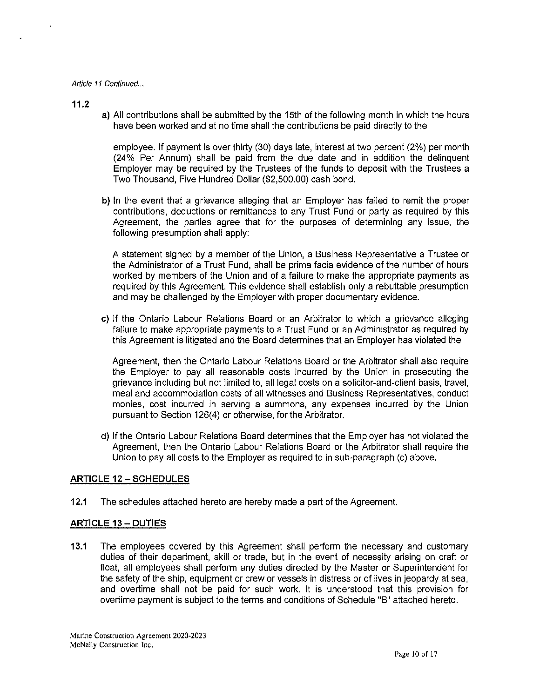Article 11 Continued...

**11.2** 

a) All contributions shall be submitted by the 15th of the following month in which the hours have been worked and at no time shall the contributions be paid directly to the

employee. If payment is over thirty (30) days late, interest at two percent (2%) per month (24% Per Annum) shall be paid from the due date and in addition the delinquent Employer may be required by the Trustees of the funds to deposit with the Trustees a Two Thousand, Five Hundred Dollar (\$2,500.00) cash bond.

**b)** In the event that a grievance alleging that an Employer has failed to remit the proper contributions, deductions or remittances to any Trust Fund or party as required by this Agreement, the parties agree that for the purposes of determining any issue, the following presumption shall apply:

A statement signed by a member of the Union, a Business Representative a Trustee or the Administrator of a Trust Fund, shall be prima facia evidence of the number of hours worked by members of the Union and of a failure to make the appropriate payments as required by this Agreement. This evidence shall establish only a rebuttable presumption and may be challenged by the Employer with proper documentary evidence.

c) If the Ontario Labour Relations Board or an Arbitrator to which a grievance alleging failure to make appropriate payments to a Trust Fund or an Administrator as required by this Agreement is litigated and the Board determines that an Employer has violated the

Agreement, then the Ontario Labour Relations Board or the Arbitrator shall also require the Employer to pay all reasonable costs incurred by the Union in prosecuting the grievance including but not limited to, all legal costs on a solicitor-and-client basis, travel, meal and accommodation costs of all witnesses and Business Representatives, conduct monies, cost incurred in serving a summons, any expenses incurred by the Union pursuant to Section 126(4) or otherwise, for the Arbitrator.

d) If the Ontario Labour Relations Board determines that the Employer has not violated the Agreement, then the Ontario Labour Relations Board or the Arbitrator shall require the Union to pay all costs to the Employer as required to in sub-paragraph (c) above.

#### **ARTICLE 12-SCHEDULES**

**12.1** The schedules attached hereto are hereby made a part of the Agreement.

#### **ARTICLE 13 - DUTIES**

**13.1** The employees covered by this Agreement shall perform the necessary and customary duties of their department, skill or trade, but in the event of necessity arising on craft or float, all employees shall perform any duties directed by the Master or Superintendent for the safety of the ship, equipment or crew or vessels in distress or of lives in jeopardy at sea, and overtime shall not be paid for such work. It is understood that this provision for overtime payment is subject to the terms and conditions of Schedule "B" attached hereto.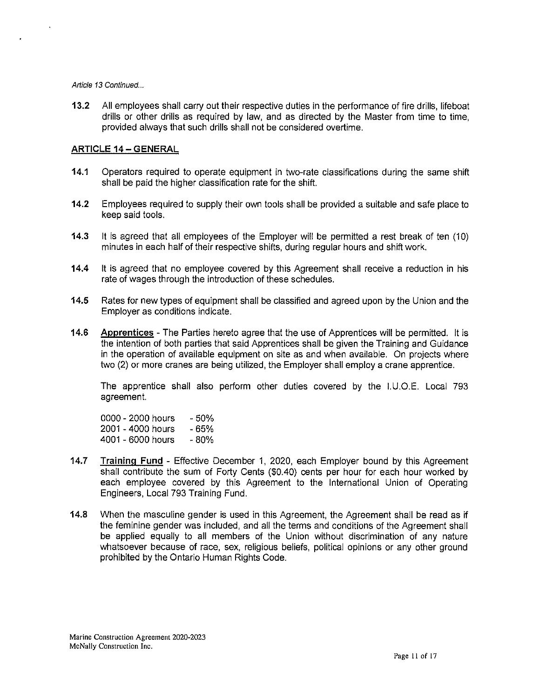Article 13 Continued...

**13.2** All employees shall carry out their respective duties in the performance of fire drills, lifeboat drills or other drills as required by law, and as directed by the Master from time to time, provided always that such drills shall not be considered overtime.

#### **ARTICLE 14-GENERAL**

- **14.1** Operators required to operate equipment in two-rate classifications during the same shift shall be paid the higher classification rate for the shift.
- **14.2** Employees required to supply their own tools shall be provided a suitable and safe place to keep said tools.
- **14.3** It is agreed that all employees of the Employer will be permitted a rest break of ten (10) minutes in each half of their respective shifts, during regular hours and shift work.
- **14.4** It is agreed that no employee covered by this Agreement shall receive a reduction in his rate of wages through the introduction of these schedules.
- **14.5** Rates for new types of equipment shall be classified and agreed upon by the Union and the Employer as conditions indicate.
- **14.6 Apprentices**  The Parties hereto agree that the use of Apprentices will be permitted. It is the intention of both parties that said Apprentices shall be given the Training and Guidance in the operation of available equipment on site as and when available. On projects where two (2) or more cranes are being utilized, the Employer shall employ a crane apprentice.

The apprentice shall also perform other duties covered by the 1.U.O.E. Local 793 agreement.

0000 - 2000 hours 2001 - 4000 hours 4001 - 6000 hours - 50% -65% -80%

- **14.7 Training Fund**  Effective December 1, 2020, each Employer bound by this Agreement shall contribute the sum of Forty Cents (\$0.40) cents per hour for each hour worked by each employee covered by this Agreement to the International Union of Operating Engineers, Local 793 Training Fund.
- **14.8** When the masculine gender is used in this Agreement, the Agreement shall be read as if the feminine gender was included, and all the terms and conditions of the Agreement shall be applied equally to all members of the Union without discrimination of any nature whatsoever because of race, sex, religious beliefs, political opinions or any other ground prohibited by the Ontario Human Rights Code.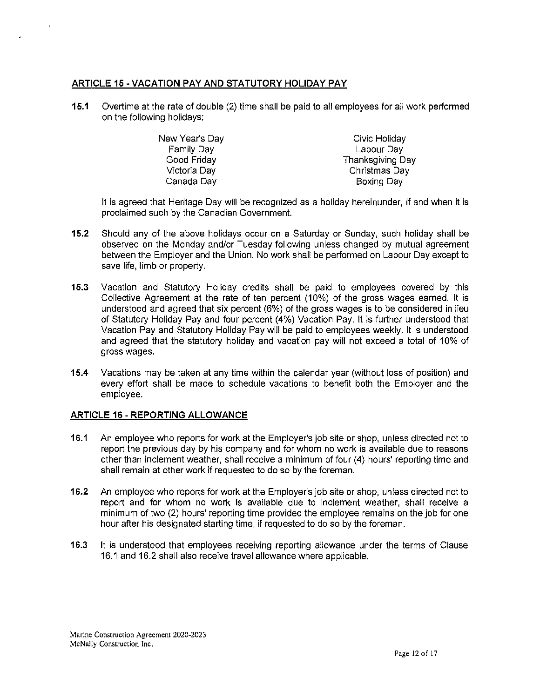# **ARTICLE 15 ·VACATION PAY AND STATUTORY HOLIDAY PAY**

**15.1** Overtime at the rate of double (2) time shall be paid to all employees for all work performed on the following holidays:

| New Year's Day    | Civic Holiday    |
|-------------------|------------------|
| <b>Family Day</b> | Labour Day       |
| Good Friday       | Thanksgiving Day |
| Victoria Day      | Christmas Day    |
| Canada Day        | Boxing Day       |

It is agreed that Heritage Day will be recognized as a holiday hereinunder, if and when it is proclaimed such by the Canadian Government.

- **15.2** Should any of the above holidays occur on a Saturday or Sunday, such holiday shall be observed on the Monday and/or Tuesday following unless changed by mutual agreement between the Employer and the Union. No work shall be performed on Labour Day except to save life, limb or property.
- **15.3** Vacation and Statutory Holiday credits shall be paid to employees covered by this Collective Agreement at the rate of ten percent (10%) of the gross wages earned. It is understood and agreed that six percent (6%) of the gross wages is to be considered in lieu of Statutory Holiday Pay and four percent (4%) Vacation Pay. It is further understood that Vacation Pay and Statutory Holiday Pay will be paid to employees weekly. It is understood and agreed that the statutory holiday and vacation pay will not exceed a total of 10% of gross wages.
- **15.4** Vacations may be taken at any time within the calendar year (without loss of position) and every effort shall be made to schedule vacations to benefit both the Employer and the employee.

#### **ARTICLE 16 ·REPORTING ALLOWANCE**

- **16.1** An employee who reports for work at the Employer's job site or shop, unless directed not to report the previous day by his company and for whom no work is available due to reasons other than inclement weather, shall receive a minimum of four (4) hours' reporting time and shall remain at other work if requested to do so by the foreman.
- **16.2** An employee who reports for work at the Employer's job site or shop, unless directed not to report and for whom no work is available due to inclement weather, shall receive a minimum of two (2) hours' reporting time provided the employee remains on the job for one hour after his designated starting time, if requested to do so by the foreman.
- **16.3** It is understood that employees receiving reporting allowance under the terms of Clause 16.1 and 16.2 shall also receive travel allowance where applicable.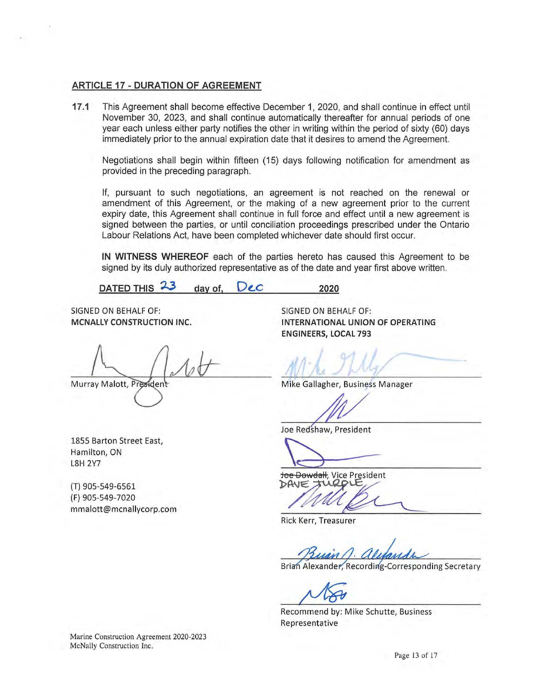#### **ARTICLE 17 - DURATION OF AGREEMENT**

**17.1** This Agreement shall become effective December 1, 2020, and shall continue in effect until November 30, 2023, and shall continue automatically thereafter for annual periods of one year each unless either party notifies the other in writing within the period of sixty (60) days immediately prior to the annual expiration date that it desires to amend the Agreement.

Negotiations shall begin within fifteen (15) days following notification for amendment as provided in the preceding paragraph.

If, pursuant to such negotiations, an agreement is not reached on the renewal or amendment of this Agreement, or the making of a new agreement prior to the current expiry date, this Agreement shall continue in full force and effect until a new agreement is signed between the parties, or until conciliation proceedings prescribed under the Ontario Labour Relations Act, have been completed whichever date should first occur.

**IN WITNESS WHEREOF** each of the parties hereto has caused this Agreement to be signed by its duly authorized representative as of the date and year first above written.

DATED THIS 23 day of. Dec **2020** 

SIGNED ON BEHALF OF: **MCNALLY CONSTRUCTION INC.** 

Murray Malott, President

SIGNED ON BEHALF OF: **INTERNATIONAL UNION OF OPERATING ENGINEERS, LOCAL 793** 

Mike Gallagher, Business Manager

Joe Redshaw, President

1855 Barton Street East, Hamilton, ON L8H 2Y7

(T) 905-549-6561 (F) 905-549-7020 mmalott@mcnallycorp.com

**Toe Dowdall, Vice President** 

Provedatt, Vice President

Rick Kerr, Treasurer

Brian Alexander, Recording-Corresponding Secretary

Recommend by: Mike Schutte, Business Representative

Marine Construction Agreement 2020-2023 McNally Construction Inc.

Page 13 of 17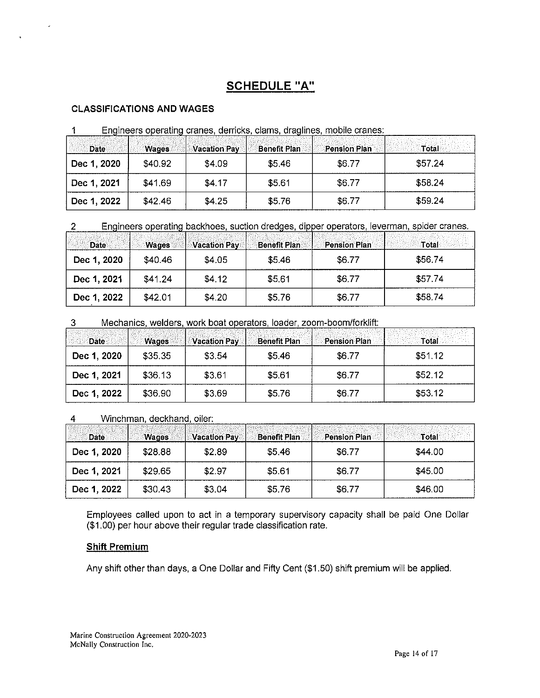# SCHEDULE "A"

# CLASSIFICATIONS AND WAGES

J.

| Date        | Wages   | <b>Vacation Pay</b> | <b>Benefit Plan</b> | <b>Pension Plan</b> | Total   |
|-------------|---------|---------------------|---------------------|---------------------|---------|
| Dec 1, 2020 | \$40.92 | \$4.09              | \$5,46              | \$6.77              | \$57.24 |
| Dec 1, 2021 | \$41.69 | \$4.17              | \$5.61              | \$6,77              | \$58.24 |
| Dec 1, 2022 | \$42.46 | \$4.25              | \$5.76              | \$6.77              | \$59.24 |

1 Engineers operating cranes, derricks, clams, draglines, mobile cranes:

2 Engineers operating backhoes, suction dredges, dipper operators, leverman, spider cranes.

| <b>Date</b> | Wages   | <b>Vacation Pay</b> | Benefit Plan | <b>Pension Plan</b> | Total   |
|-------------|---------|---------------------|--------------|---------------------|---------|
| Dec 1, 2020 | \$40.46 | \$4.05              | \$5.46       | \$6.77              | \$56.74 |
| Dec 1, 2021 | \$41.24 | \$4.12              | \$5.61       | \$6.77              | \$57.74 |
| Dec 1, 2022 | \$42.01 | \$4.20              | \$5.76       | \$6.77              | \$58.74 |

3 Mechanics, welders, work boat operators, loader, zoom-boom/forklift:

| Date        | Wages   | <b>Vacation Pay</b> | <b>Benefit Plan</b> | <b>Pension Plan</b> | Total   |
|-------------|---------|---------------------|---------------------|---------------------|---------|
| Dec 1, 2020 | \$35.35 | \$3.54              | \$5.46              | \$6.77              | \$51.12 |
| Dec 1, 2021 | \$36.13 | \$3.61              | \$5.61              | \$6.77              | \$52.12 |
| Dec 1, 2022 | \$36.90 | \$3.69              | \$5.76              | \$6.77              | \$53.12 |

# 4 Winchman, deckhand, oiler:

| Date        | <b>Wages</b> | <b>Vacation Pay</b> | Benefit Plan | <b>Pension Plan</b> | Total   |
|-------------|--------------|---------------------|--------------|---------------------|---------|
| Dec 1, 2020 | \$28.88      | \$2.89              | \$5.46       | \$6.77              | \$44.00 |
| Dec 1, 2021 | \$29.65      | \$2.97              | \$5.61       | \$6.77              | \$45,00 |
| Dec 1, 2022 | \$30.43      | \$3.04              | \$5.76       | \$6.77              | \$46.00 |

Employees called upon to act in a temporary supervisory capacity shall be paid One Dollar (\$1.00) per hour above their regular trade classification rate.

# Shift Premium

Any shift other than days, a One Dollar and Fifty Cent (\$1.50) shift premium will be applied.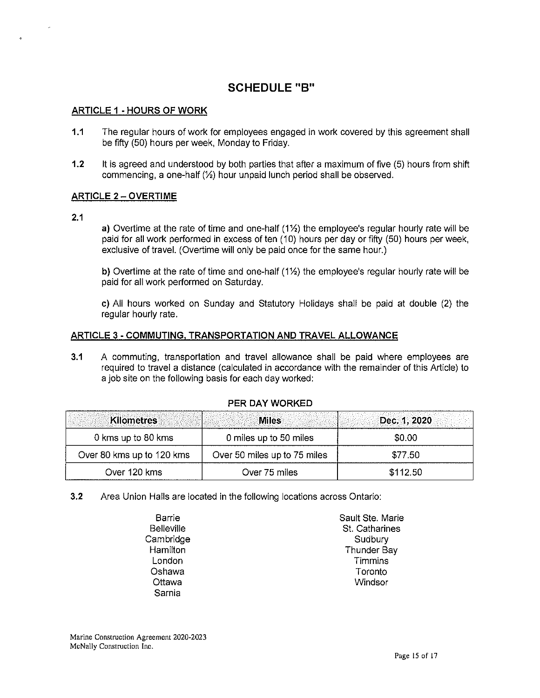# **SCHEDULE "B"**

## **ARTICLE 1 - HOURS OF WORK**

- 1.1 The regular hours of work for employees engaged in work covered by this agreement shall be fifty (50) hours per week, Monday to Friday.
- **1.2** It is agreed and understood by both parties that after a maximum of five (5) hours from shift commencing, a one-half (%) hour unpaid lunch period shall be observed.

#### **ARTICLE 2 - OVERTIME**

#### **2.1**

**a)** Overtime at the rate of time and one-half (11/<sub>2</sub>) the employee's regular hourly rate will be paid for all work performed in excess of ten (10) hours per day or fifty (50) hours per week, exclusive of travel. (Overtime will only be paid once for the same hour.)

b) Overtime at the rate of time and one-half (1%) the employee's regular hourly rate will be paid for all work performed on Saturday.

c) All hours worked on Sunday and Statutory Holidays shall be paid at double (2) the regular hourly rate.

## **ARTICLE** 3 - **COMMUTING, TRANSPORTATION AND TRAVEL ALLOWANCE**

3.1 A commuting, transportation and travel allowance shall be paid where employees are required to travel a distance (calculated in accordance with the remainder of this Article) to a job site on the following basis for each day worked:

| Kilometres                | <b>Miles</b>                 | Dec. 1, 2020 |
|---------------------------|------------------------------|--------------|
| 0 kms up to 80 kms        | 0 miles up to 50 miles       | \$0.00       |
| Over 80 kms up to 120 kms | Over 50 miles up to 75 miles | \$77.50      |
| Over 120 kms              | Over 75 miles                | \$112.50     |

- 3.2 Area Union Halls are located in the following locations across Ontario:
	- Barrie **Belleville** Cambridge **Hamilton** London Oshawa **Ottawa** Sarnia

Sault Ste. Marie St. Catharines **Sudbury** Thunder Bay Timmins Toronto **Windsor**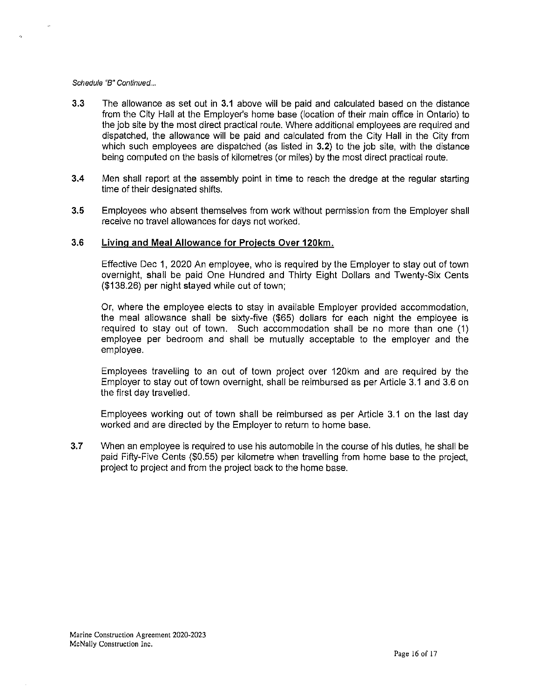#### Schedule "B" Continued ...

- **3.3** The allowance as set out in **3.1** above will be paid and calculated based on the distance from the City Hall at the Employer's home base (location of their main office in Ontario) to the job site by the most direct practical route. Where additional employees are required and dispatched, the allowance will be paid and calculated from the City Hall in the City from which such employees are dispatched (as listed in **3.2)** to the job site, with the distance being computed on the basis of kilometres (or miles) by the most direct practical route.
- **3.4** Men shall report at the assembly point in time to reach the dredge at the regular starting time of their designated shifts.
- **3.5** Employees who absent themselves from work without permission from the Employer shall receive no travel allowances for days not worked.

#### **3.6 Living and Meal Allowance for Projects Over 120km.**

Effective Dec 1, 2020 An employee, who is required by the Employer to stay out of town overnight, shall be paid One Hundred and Thirty Eight Dollars and Twenty-Six Cents (\$138.26) per night stayed while out of town;

Or, where the employee elects to stay in available Employer provided accommodation, the meal allowance shall be sixty-five (\$65) dollars for each night the employee is required to stay out of town. Such accommodation shall be no more than one (1) employee per bedroom and shall be mutually acceptable to the employer and the employee.

Employees travelling to an out of town project over 120km and are required by the Employer to stay out of town overnight, shall be reimbursed as per Article 3.1 and 3.6 on the first day travelled.

Employees working out of town shall be reimbursed as per Article 3.1 on the last day worked and are directed by the Employer to return to home base.

**3.7** When an employee is required to use his automobile in the course of his duties, he shall be paid Fifty-Five Cents (\$0.55) per kilometre when travelling from home base to the project, project to project and from the project back to the home base.